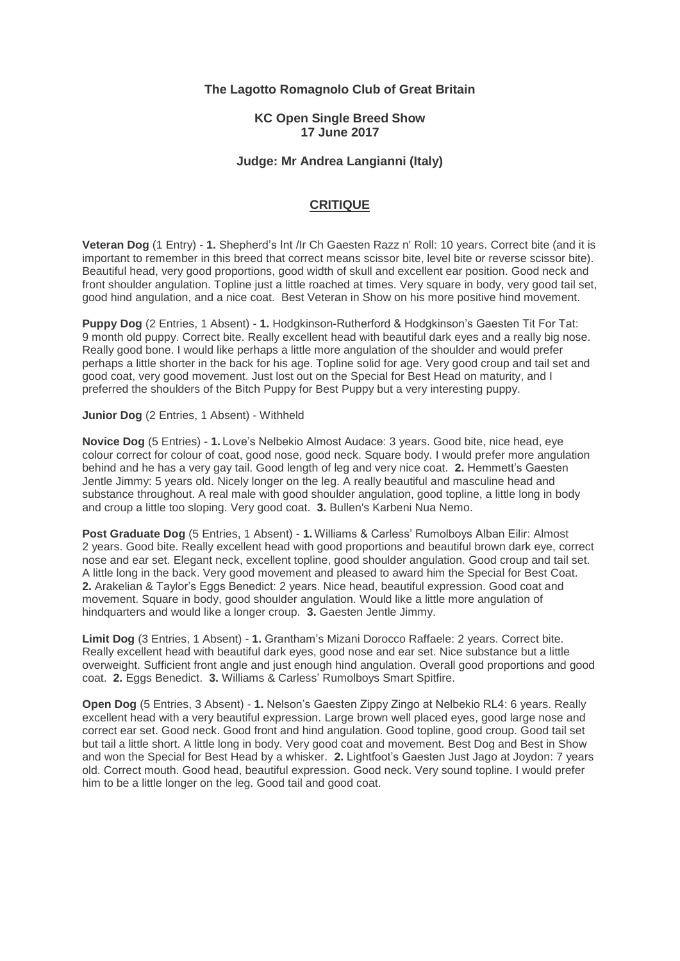# **The Lagotto Romagnolo Club of Great Britain**

### **KC Open Single Breed Show 17 June 2017**

## **Judge: Mr Andrea Langianni (Italy)**

# **CRITIQUE**

**Veteran Dog** (1 Entry) - **1.** Shepherd's Int /Ir Ch Gaesten Razz n' Roll: 10 years. Correct bite (and it is important to remember in this breed that correct means scissor bite, level bite or reverse scissor bite). Beautiful head, very good proportions, good width of skull and excellent ear position. Good neck and front shoulder angulation. Topline just a little roached at times. Very square in body, very good tail set, good hind angulation, and a nice coat. Best Veteran in Show on his more positive hind movement.

**Puppy Dog** (2 Entries, 1 Absent) - **1.** Hodgkinson-Rutherford & Hodgkinson's Gaesten Tit For Tat: 9 month old puppy. Correct bite. Really excellent head with beautiful dark eyes and a really big nose. Really good bone. I would like perhaps a little more angulation of the shoulder and would prefer perhaps a little shorter in the back for his age. Topline solid for age. Very good croup and tail set and good coat, very good movement. Just lost out on the Special for Best Head on maturity, and I preferred the shoulders of the Bitch Puppy for Best Puppy but a very interesting puppy.

#### **Junior Dog** (2 Entries, 1 Absent) - Withheld

**Novice Dog** (5 Entries) - **1.** Love's Nelbekio Almost Audace: 3 years. Good bite, nice head, eye colour correct for colour of coat, good nose, good neck. Square body. I would prefer more angulation behind and he has a very gay tail. Good length of leg and very nice coat. **2.** Hemmett's Gaesten Jentle Jimmy: 5 years old. Nicely longer on the leg. A really beautiful and masculine head and substance throughout. A real male with good shoulder angulation, good topline, a little long in body and croup a little too sloping. Very good coat. **3.** Bullen's Karbeni Nua Nemo.

**Post Graduate Dog** (5 Entries, 1 Absent) - **1.** Williams & Carless' Rumolboys Alban Eilir: Almost 2 years. Good bite. Really excellent head with good proportions and beautiful brown dark eye, correct nose and ear set. Elegant neck, excellent topline, good shoulder angulation. Good croup and tail set. A little long in the back. Very good movement and pleased to award him the Special for Best Coat. **2.** Arakelian & Taylor's Eggs Benedict: 2 years. Nice head, beautiful expression. Good coat and movement. Square in body, good shoulder angulation. Would like a little more angulation of hindquarters and would like a longer croup. **3.** Gaesten Jentle Jimmy.

**Limit Dog** (3 Entries, 1 Absent) - **1.** Grantham's Mizani Dorocco Raffaele: 2 years. Correct bite. Really excellent head with beautiful dark eyes, good nose and ear set. Nice substance but a little overweight. Sufficient front angle and just enough hind angulation. Overall good proportions and good coat. **2.** Eggs Benedict. **3.** Williams & Carless' Rumolboys Smart Spitfire.

**Open Dog** (5 Entries, 3 Absent) - **1.** Nelson's Gaesten Zippy Zingo at Nelbekio RL4: 6 years. Really excellent head with a very beautiful expression. Large brown well placed eyes, good large nose and correct ear set. Good neck. Good front and hind angulation. Good topline, good croup. Good tail set but tail a little short. A little long in body. Very good coat and movement. Best Dog and Best in Show and won the Special for Best Head by a whisker. **2.** Lightfoot's Gaesten Just Jago at Joydon: 7 years old. Correct mouth. Good head, beautiful expression. Good neck. Very sound topline. I would prefer him to be a little longer on the leg. Good tail and good coat.